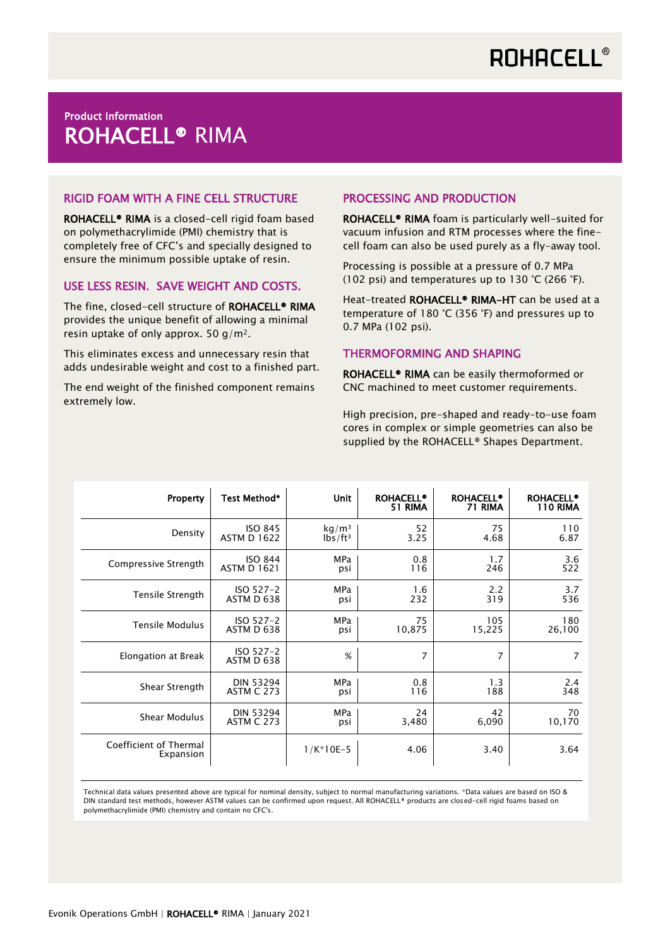## Product Information ROHACELL® RIMA

### RIGID FOAM WITH A FINE CELL STRUCTURE

ROHACELL® RIMA is a closed-cell rigid foam based on polymethacrylimide (PMI) chemistry that is completely free of CFC's and specially designed to ensure the minimum possible uptake of resin.

#### USE LESS RESIN. SAVE WEIGHT AND COSTS.

The fine, closed-cell structure of ROHACELL® RIMA provides the unique benefit of allowing a minimal resin uptake of only approx. 50  $g/m^2$ .

This eliminates excess and unnecessary resin that adds undesirable weight and cost to a finished part.

The end weight of the finished component remains extremely low.

## PROCESSING AND PRODUCTION

ROHACELL® RIMA foam is particularly well-suited for vacuum infusion and RTM processes where the finecell foam can also be used purely as a fly-away tool.

Processing is possible at a pressure of 0.7 MPa (102 psi) and temperatures up to 130 °C (266 °F).

Heat-treated ROHACELL<sup>®</sup> RIMA-HT can be used at a temperature of 180 °C (356 °F) and pressures up to 0.7 MPa (102 psi).

#### THERMOFORMING AND SHAPING

ROHACELL® RIMA can be easily thermoformed or CNC machined to meet customer requirements.

High precision, pre-shaped and ready-to-use foam cores in complex or simple geometries can also be supplied by the ROHACELL® Shapes Department.

| Property                            | Test Method*              | <b>Unit</b>       | <b>ROHACELL®</b><br>51 RIMA | <b>ROHACELL®</b><br>71 RIMA | <b>ROHACELL®</b><br>110 RIMA |
|-------------------------------------|---------------------------|-------------------|-----------------------------|-----------------------------|------------------------------|
| Density                             | <b>ISO 845</b>            | kg/m <sup>3</sup> | 52                          | 75                          | 110                          |
|                                     | <b>ASTM D 1622</b>        | $1b5/ft^3$        | 3.25                        | 4.68                        | 6.87                         |
| Compressive Strength                | <b>ISO 844</b>            | MPa               | 0.8                         | 1.7                         | 3.6                          |
|                                     | <b>ASTM D 1621</b>        | psi               | 116                         | 246                         | 522                          |
| Tensile Strength                    | $ISO 527-2$               | <b>MPa</b>        | 1.6                         | 2.2                         | 3.7                          |
|                                     | ASTM D 638                | psi               | 232                         | 319                         | 536                          |
| <b>Tensile Modulus</b>              | $ISO 527-2$               | MPa               | 75                          | 105                         | 180                          |
|                                     | ASTM D 638                | psi               | 10,875                      | 15,225                      | 26,100                       |
| Elongation at Break                 | $ISO 527-2$<br>ASTM D 638 | %                 | $\overline{7}$              | $\overline{7}$              | $\overline{7}$               |
| Shear Strength                      | <b>DIN 53294</b>          | <b>MPa</b>        | 0.8                         | 1.3                         | 2.4                          |
|                                     | <b>ASTM C 273</b>         | psi               | 116                         | 188                         | 348                          |
| Shear Modulus                       | <b>DIN 53294</b>          | <b>MPa</b>        | 24                          | 42                          | 70                           |
|                                     | <b>ASTM C 273</b>         | psi               | 3,480                       | 6,090                       | 10,170                       |
| Coefficient of Thermal<br>Expansion |                           | $1/K*10E-5$       | 4.06                        | 3.40                        | 3.64                         |

Technical data values presented above are typical for nominal density, subject to normal manufacturing variations. \*Data values are based on ISO & DIN standard test methods, however ASTM values can be confirmed upon request. All ROHACELL® products are closed-cell rigid foams based on polymethacrylimide (PMI) chemistry and contain no CFC's.